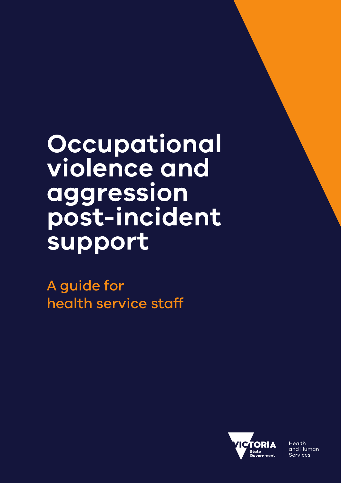**Occupational violence and aggression post-incident support**

A guide for health service staff



Health and Human Services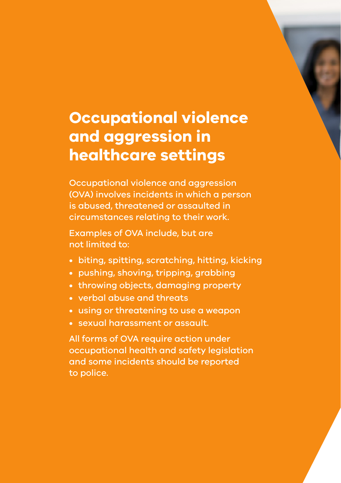# **Occupational violence and aggression in healthcare settings**

Occupational violence and aggression (OVA) involves incidents in which a person is abused, threatened or assaulted in circumstances relating to their work.

Examples of OVA include, but are not limited to:

- biting, spitting, scratching, hitting, kicking
- pushing, shoving, tripping, grabbing
- throwing objects, damaging property
- verbal abuse and threats
- using or threatening to use a weapon
- sexual harassment or assault.

All forms of OVA require action under occupational health and safety legislation and some incidents should be reported to police.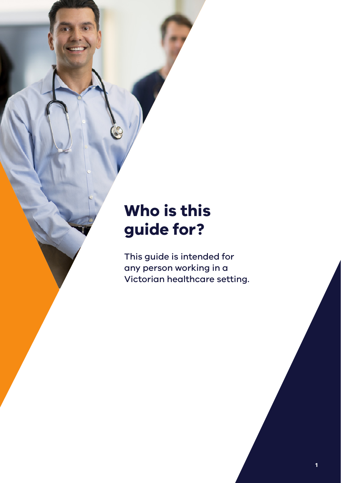# **Who is this guide for?**

This guide is intended for any person working in a Victorian healthcare setting.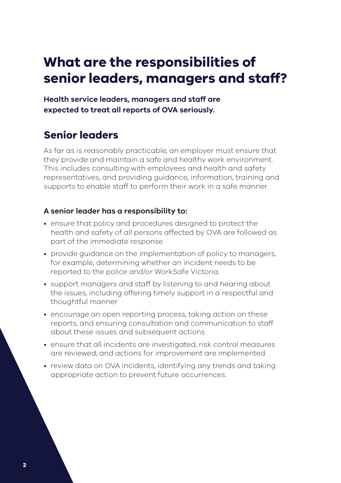## **What are the responsibilities of senior leaders, managers and staff?**

**Health service leaders, managers and staff are expected to treat all reports of OVA seriously.**

### **Senior leaders**

As far as is reasonably practicable, an employer must ensure that they provide and maintain a safe and healthy work environment. This includes consulting with employees and health and safety representatives, and providing guidance, information, training and supports to enable staff to perform their work in a safe manner.

### **A senior leader has a responsibility to:**

- ensure that policy and procedures designed to protect the health and safety of all persons affected by OVA are followed as part of the immediate response
- provide guidance on the implementation of policy to managers, for example, determining whether an incident needs to be reported to the police and/or WorkSafe Victoria
- support managers and staff by listening to and hearing about the issues, including offering timely support in a respectful and thoughtful manner
- encourage an open reporting process, taking action on these reports, and ensuring consultation and communication to staff about these issues and subsequent actions
- ensure that all incidents are investigated, risk control measures are reviewed, and actions for improvement are implemented
- review data on OVA incidents, identifying any trends and taking appropriate action to prevent future occurrences.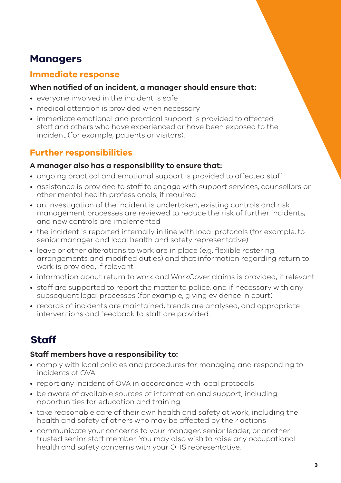### **Managers**

### **Immediate response**

#### **When notified of an incident, a manager should ensure that:**

- everyone involved in the incident is safe
- medical attention is provided when necessary
- immediate emotional and practical support is provided to affected staff and others who have experienced or have been exposed to the incident (for example, patients or visitors).

### **Further responsibilities**

#### **A manager also has a responsibility to ensure that:**

- ongoing practical and emotional support is provided to affected staff
- assistance is provided to staff to engage with support services, counsellors or other mental health professionals, if required
- an investigation of the incident is undertaken, existing controls and risk management processes are reviewed to reduce the risk of further incidents, and new controls are implemented
- the incident is reported internally in line with local protocols (for example, to senior manager and local health and safety representative)
- leave or other alterations to work are in place (e.g. flexible rostering arrangements and modified duties) and that information regarding return to work is provided, if relevant
- information about return to work and WorkCover claims is provided, if relevant
- staff are supported to report the matter to police, and if necessary with any subsequent legal processes (for example, giving evidence in court)
- records of incidents are maintained, trends are analysed, and appropriate interventions and feedback to staff are provided.

### **Staff**

### **Staff members have a responsibility to:**

- comply with local policies and procedures for managing and responding to incidents of OVA
- report any incident of OVA in accordance with local protocols
- be aware of available sources of information and support, including opportunities for education and training
- take reasonable care of their own health and safety at work, including the health and safety of others who may be affected by their actions
- communicate your concerns to your manager, senior leader, or another trusted senior staff member. You may also wish to raise any occupational health and safety concerns with your OHS representative.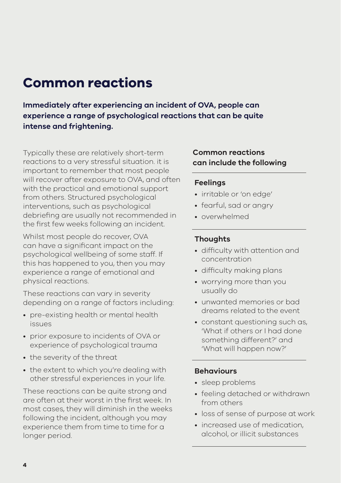### **Common reactions**

**Immediately after experiencing an incident of OVA, people can experience a range of psychological reactions that can be quite intense and frightening.** 

Typically these are relatively short-term reactions to a very stressful situation. it is important to remember that most people will recover after exposure to OVA, and often with the practical and emotional support from others. Structured psychological interventions, such as psychological debriefing are usually not recommended in the first few weeks following an incident.

Whilst most people do recover, OVA can have a significant impact on the psychological wellbeing of some staff. If this has happened to you, then you may experience a range of emotional and physical reactions.

These reactions can vary in severity depending on a range of factors including:

- pre-existing health or mental health issues
- prior exposure to incidents of OVA or experience of psychological trauma
- the severity of the threat
- the extent to which you're dealing with other stressful experiences in your life.

These reactions can be quite strong and are often at their worst in the first week. In most cases, they will diminish in the weeks following the incident, although you may experience them from time to time for a longer period.

### **Common reactions can include the following**

#### **Feelings**

- irritable or 'on edge'
- fearful, sad or angry
- overwhelmed

### **Thoughts**

- difficulty with attention and concentration
- difficulty making plans
- worrying more than you usually do
- unwanted memories or bad dreams related to the event
- constant questioning such as, 'What if others or I had done something different?' and 'What will happen now?'

#### **Behaviours**

- sleep problems
- feeling detached or withdrawn from others
- loss of sense of purpose at work
- increased use of medication, alcohol, or illicit substances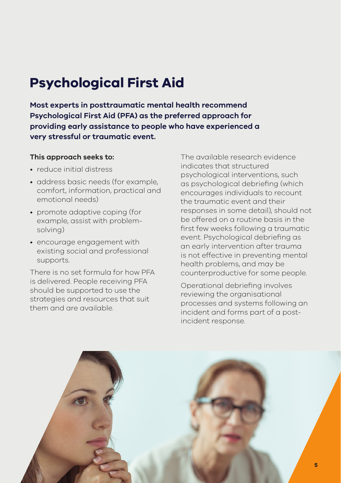## **Psychological First Aid**

**Most experts in posttraumatic mental health recommend Psychological First Aid (PFA) as the preferred approach for providing early assistance to people who have experienced a very stressful or traumatic event.** 

#### **This approach seeks to:**

- reduce initial distress
- address basic needs (for example, comfort, information, practical and emotional needs)
- promote adaptive coping (for example, assist with problemsolving)
- encourage engagement with existing social and professional supports.

There is no set formula for how PFA is delivered. People receiving PFA should be supported to use the strategies and resources that suit them and are available.

The available research evidence indicates that structured psychological interventions, such as psychological debriefing (which encourages individuals to recount the traumatic event and their responses in some detail), should not be offered on a routine basis in the first few weeks following a traumatic event. Psychological debriefing as an early intervention after trauma is not effective in preventing mental health problems, and may be counterproductive for some people.

Operational debriefing involves reviewing the organisational processes and systems following an incident and forms part of a postincident response.

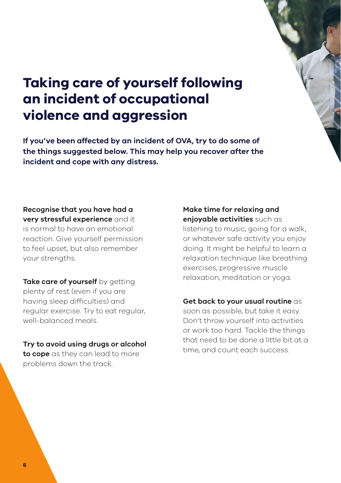## **Taking care of yourself following an incident of occupational violence and aggression**

**If you've been affected by an incident of OVA, try to do some of the things suggested below. This may help you recover after the incident and cope with any distress.**

#### **Recognise that you have had a very stressful experience** and it

is normal to have an emotional reaction. Give yourself permission to feel upset, but also remember your strengths.

**Take care of yourself** by getting plenty of rest (even if you are having sleep difficulties) and regular exercise. Try to eat regular, well-balanced meals.

**Try to avoid using drugs or alcohol to cope** as they can lead to more problems down the track.

#### **Make time for relaxing and enjoyable activities** such as

listening to music, going for a walk, or whatever safe activity you enjoy doing. It might be helpful to learn a relaxation technique like breathing exercises, progressive muscle relaxation, meditation or yoga.

**Get back to your usual routine** as soon as possible, but take it easy. Don't throw yourself into activities or work too hard. Tackle the things that need to be done a little bit at a time, and count each success.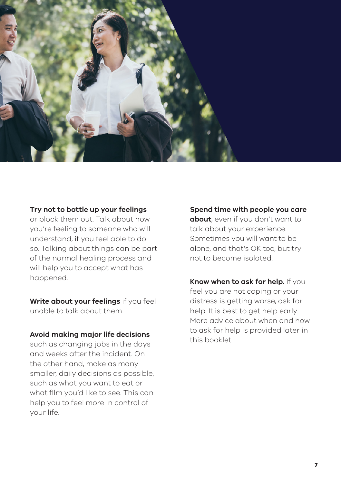

#### **Try not to bottle up your feelings**

or block them out. Talk about how you're feeling to someone who will understand, if you feel able to do so. Talking about things can be part of the normal healing process and will help you to accept what has happened.

**Write about your feelings** if you feel unable to talk about them.

#### **Avoid making major life decisions**

such as changing jobs in the days and weeks after the incident. On the other hand, make as many smaller, daily decisions as possible, such as what you want to eat or what film you'd like to see. This can help you to feel more in control of your life.

**Spend time with people you care about**, even if you don't want to talk about your experience. Sometimes you will want to be alone, and that's OK too, but try not to become isolated.

**Know when to ask for help.** If you feel you are not coping or your distress is getting worse, ask for help. It is best to get help early. More advice about when and how to ask for help is provided later in this booklet.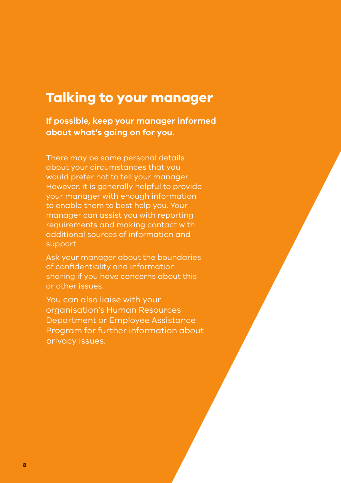### **Talking to your manager**

**If possible, keep your manager informed about what's going on for you.** 

There may be some personal details about your circumstances that you would prefer not to tell your manager. However, it is generally helpful to provide your manager with enough information to enable them to best help you. Your manager can assist you with reporting requirements and making contact with additional sources of information and support.

Ask your manager about the boundaries of confidentiality and information sharing if you have concerns about this or other issues.

You can also liaise with your organisation's Human Resources Department or Employee Assistance Program for further information about privacy issues.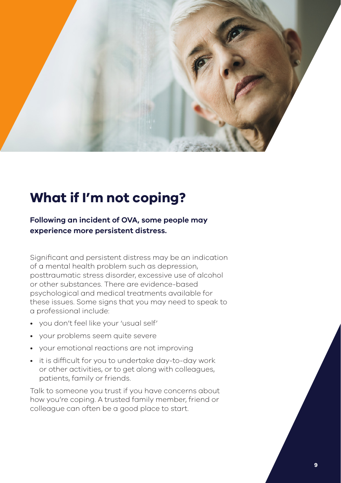

### **What if I'm not coping?**

### **Following an incident of OVA, some people may experience more persistent distress.**

Significant and persistent distress may be an indication of a mental health problem such as depression, posttraumatic stress disorder, excessive use of alcohol or other substances. There are evidence-based psychological and medical treatments available for these issues. Some signs that you may need to speak to a professional include:

- you don't feel like your 'usual self'
- your problems seem quite severe
- your emotional reactions are not improving
- it is difficult for you to undertake day-to-day work or other activities, or to get along with colleagues, patients, family or friends.

Talk to someone you trust if you have concerns about how you're coping. A trusted family member, friend or colleague can often be a good place to start.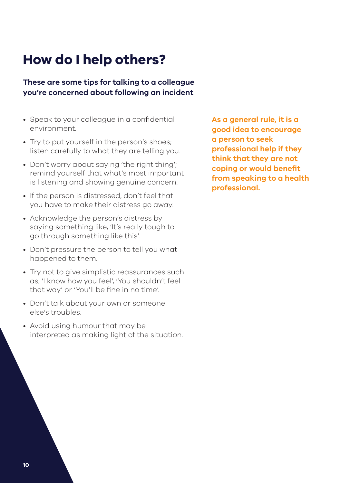## **How do I help others?**

### **These are some tips for talking to a colleague you're concerned about following an incident**

- Speak to your colleague in a confidential environment.
- Try to put yourself in the person's shoes; listen carefully to what they are telling you.
- Don't worry about saying 'the right thing'; remind yourself that what's most important is listening and showing genuine concern.
- If the person is distressed, don't feel that you have to make their distress go away.
- Acknowledge the person's distress by saying something like, 'It's really tough to go through something like this'.
- Don't pressure the person to tell you what happened to them.
- Try not to give simplistic reassurances such as, 'I know how you feel', 'You shouldn't feel that way' or 'You'll be fine in no time'.
- Don't talk about your own or someone else's troubles.
- Avoid using humour that may be interpreted as making light of the situation.

**As a general rule, it is a good idea to encourage a person to seek professional help if they think that they are not coping or would benefit from speaking to a health professional.**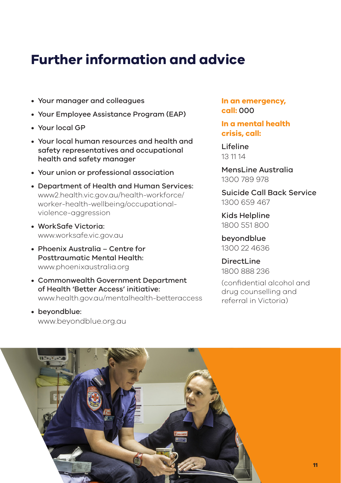## **Further information and advice**

- Your manager and colleagues
- Your Employee Assistance Program (EAP)
- Your local GP
- Your local human resources and health and safety representatives and occupational health and safety manager
- Your union or professional association
- Department of Health and Human Services: www2.health.vic.gov.au/health-workforce/ worker-health-wellbeing/occupationalviolence-aggression
- WorkSafe Victoria: www.worksafe.vic.gov.au
- Phoenix Australia Centre for Posttraumatic Mental Health: www.phoenixaustralia.org
- Commonwealth Government Department of Health 'Better Access' initiative: www.health.gov.au/mentalhealth-betteraccess
- beyondblue: www.beyondblue.org.au

**In an emergency, call:** 000

**In a mental health crisis, call:**

Lifeline 13 11 14

MensLine Australia 1300 789 978

Suicide Call Back Service 1300 659 467

Kids Helpline 1800 551 800

beyondblue 1300 22 4636

DirectLine 1800 888 236

(confidential alcohol and drug counselling and referral in Victoria)

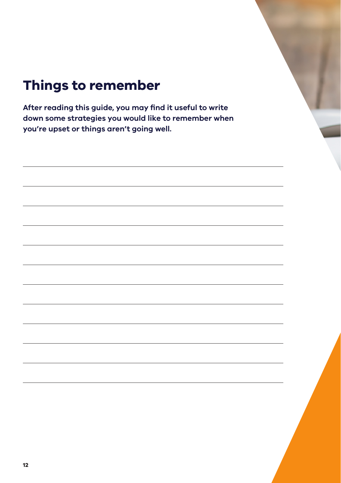## **Things to remember**

**After reading this guide, you may find it useful to write down some strategies you would like to remember when you're upset or things aren't going well.**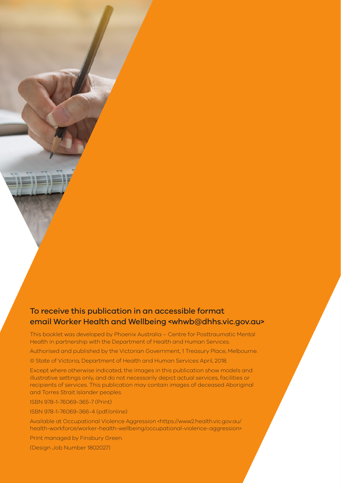### To receive this publication in an accessible format email Worker Health and Wellbeing <whwb@dhhs.vic.gov.au>

This booklet was developed by Phoenix Australia – Centre for Posttraumatic Mental Health in partnership with the Department of Health and Human Services.

Authorised and published by the Victorian Government, 1 Treasury Place, Melbourne. © State of Victoria, Department of Health and Human Services April, 2018.

Except where otherwise indicated, the images in this publication show models and illustrative settings only, and do not necessarily depict actual services, facilities or recipients of services. This publication may contain images of deceased Aboriginal and Torres Strait Islander peoples.

ISBN 978-1-76069-365-7 (Print)

ISBN 978-1-76069-366-4 (pdf/online)

Available at Occupational Violence Aggression <https://www2.health.vic.gov.au/ health-workforce/worker-health-wellbeing/occupational-violence-aggression>

Print managed by Finsbury Green.

(Design Job Number 1802027)